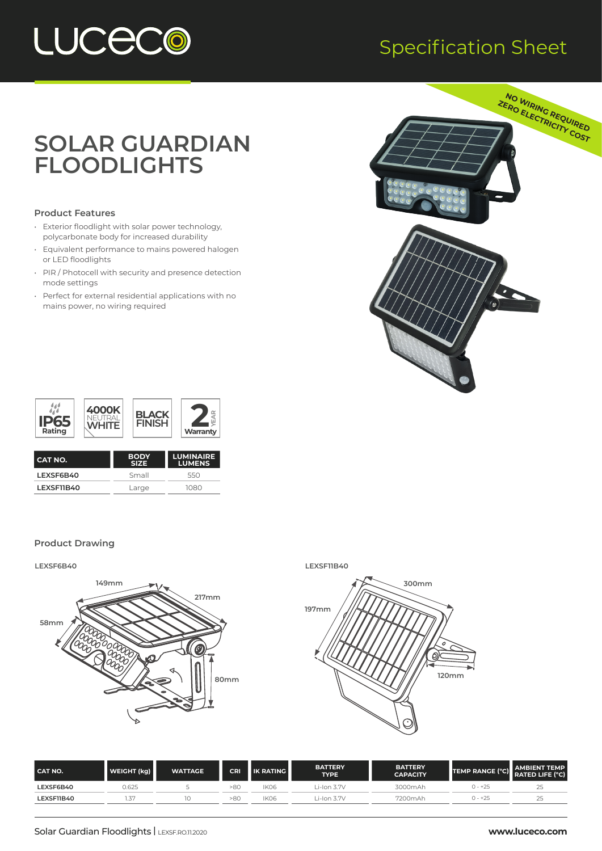

### Specification Sheet

## **SOLAR GUARDIAN FLOODLIGHTS**

#### **Product Features**

- Exterior floodlight with solar power technology, polycarbonate body for increased durability
- Equivalent performance to mains powered halogen or LED floodlights
- PIR / Photocell with security and presence detection mode settings
- Perfect for external residential applications with no mains power, no wiring required





| I CAT NO.  | <b>BODY</b><br><b>SIZE</b> | <b>LUMINAIRE</b><br><b>LUMENS</b> |
|------------|----------------------------|-----------------------------------|
| I FXSF6B40 | Small                      | 550                               |
| LEXSF11B40 | Large                      | 1080                              |
|            |                            |                                   |

#### **Product Drawing**





| CAT NO.    | WEIGHT (kg) | <b>WATTAGE</b> | CRI | <b>IK RATING</b> | <b>BATTERY</b><br><b>TYPE</b> | <b>BATTERY</b><br><b>CAPACITY</b> | TEMP RANGE (°C) | <b>AMBIENT TEMP</b><br><b>RATED LIFE (°C)</b> |
|------------|-------------|----------------|-----|------------------|-------------------------------|-----------------------------------|-----------------|-----------------------------------------------|
| LEXSF6B40  | 0.625       |                | >80 | IK06             | i-Ion 3.7V                    | 3000mAh                           | $0 - +25$       | ت                                             |
| LEXSF11B40 |             |                | >80 | IK06             | $i$ -Ion 3.7V                 | 7200mAh                           | $0 - +25$       | .                                             |
|            |             |                |     |                  |                               |                                   |                 |                                               |